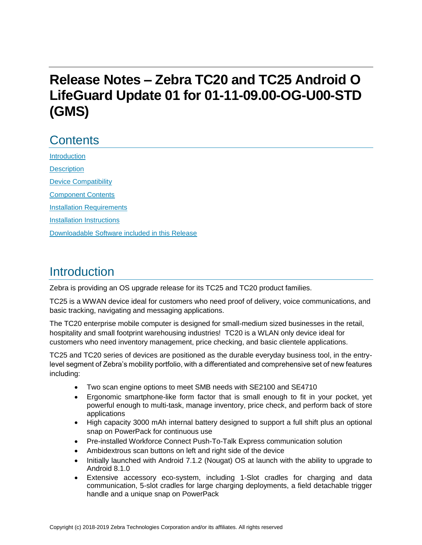# **Release Notes – Zebra TC20 and TC25 Android O LifeGuard Update 01 for 01-11-09.00-OG-U00-STD (GMS)**

## **Contents**

**[Introduction](#page-0-0) [Description](#page-0-0)** [Device Compatibility](#page-1-0) [Component Contents](#page-2-0) [Installation Requirements](#page-3-0) [Installation Instructions](#page-4-0) [Downloadable Software included in this Release](#page-6-0) 

### <span id="page-0-0"></span>Introduction

Zebra is providing an OS upgrade release for its TC25 and TC20 product families.

TC25 is a WWAN device ideal for customers who need proof of delivery, voice communications, and basic tracking, navigating and messaging applications.

The TC20 enterprise mobile computer is designed for small-medium sized businesses in the retail, hospitality and small footprint warehousing industries! TC20 is a WLAN only device ideal for customers who need inventory management, price checking, and basic clientele applications.

TC25 and TC20 series of devices are positioned as the durable everyday business tool, in the entrylevel segment of Zebra's mobility portfolio, with a differentiated and comprehensive set of new features including:

- Two scan engine options to meet SMB needs with SE2100 and SE4710
- Ergonomic smartphone-like form factor that is small enough to fit in your pocket, yet powerful enough to multi-task, manage inventory, price check, and perform back of store applications
- High capacity 3000 mAh internal battery designed to support a full shift plus an optional snap on PowerPack for continuous use
- Pre-installed Workforce Connect Push-To-Talk Express communication solution
- Ambidextrous scan buttons on left and right side of the device
- Initially launched with Android 7.1.2 (Nougat) OS at launch with the ability to upgrade to Android 8.1.0
- Extensive accessory eco-system, including 1-Slot cradles for charging and data communication, 5-slot cradles for large charging deployments, a field detachable trigger handle and a unique snap on PowerPack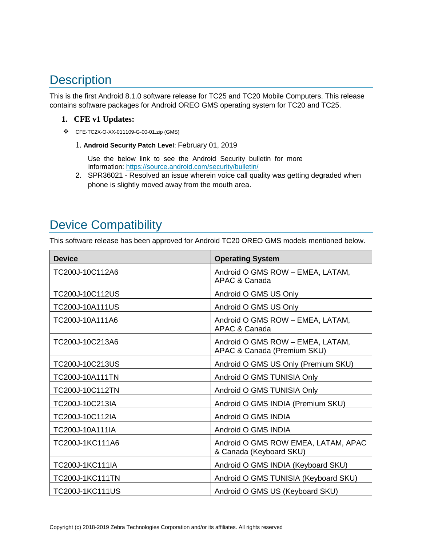## **Description**

This is the first Android 8.1.0 software release for TC25 and TC20 Mobile Computers. This release contains software packages for Android OREO GMS operating system for TC20 and TC25.

#### **1. CFE v1 Updates:**

- ❖ CFE-TC2X-O-XX-011109-G-00-01.zip (GMS)
	- 1. **Android Security Patch Level**: February 01, 2019

Use the below link to see the Android Security bulletin for more information:<https://source.android.com/security/bulletin/>

2. SPR36021 - Resolved an issue wherein voice call quality was getting degraded when phone is slightly moved away from the mouth area.

## <span id="page-1-0"></span>Device Compatibility

This software release has been approved for Android TC20 OREO GMS models mentioned below.

| <b>Device</b>          | <b>Operating System</b>                                         |
|------------------------|-----------------------------------------------------------------|
| TC200J-10C112A6        | Android O GMS ROW - EMEA, LATAM,<br>APAC & Canada               |
| TC200J-10C112US        | Android O GMS US Only                                           |
| TC200J-10A111US        | Android O GMS US Only                                           |
| TC200J-10A111A6        | Android O GMS ROW - EMEA, LATAM,<br>APAC & Canada               |
| TC200J-10C213A6        | Android O GMS ROW - EMEA, LATAM,<br>APAC & Canada (Premium SKU) |
| TC200J-10C213US        | Android O GMS US Only (Premium SKU)                             |
| TC200J-10A111TN        | Android O GMS TUNISIA Only                                      |
| TC200J-10C112TN        | Android O GMS TUNISIA Only                                      |
| TC200J-10C213IA        | Android O GMS INDIA (Premium SKU)                               |
| TC200J-10C112IA        | Android O GMS INDIA                                             |
| TC200J-10A111IA        | Android O GMS INDIA                                             |
| TC200J-1KC111A6        | Android O GMS ROW EMEA, LATAM, APAC<br>& Canada (Keyboard SKU)  |
| TC200J-1KC111IA        | Android O GMS INDIA (Keyboard SKU)                              |
| <b>TC200J-1KC111TN</b> | Android O GMS TUNISIA (Keyboard SKU)                            |
| <b>TC200J-1KC111US</b> | Android O GMS US (Keyboard SKU)                                 |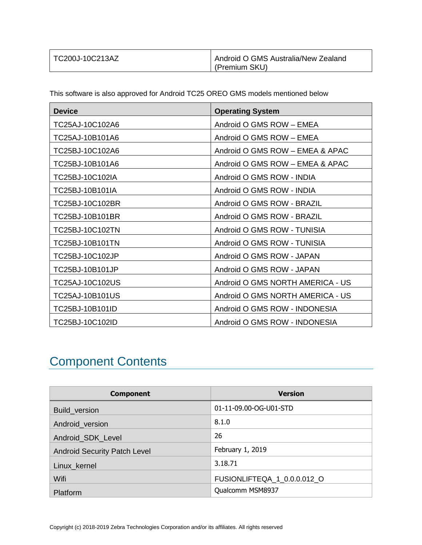| TC200J-10C213AZ | Android O GMS Australia/New Zealand |
|-----------------|-------------------------------------|
|                 | (Premium SKU)                       |

This software is also approved for Android TC25 OREO GMS models mentioned below

| <b>Device</b>   | <b>Operating System</b>          |
|-----------------|----------------------------------|
| TC25AJ-10C102A6 | Android O GMS ROW - EMEA         |
| TC25AJ-10B101A6 | Android O GMS ROW - EMEA         |
| TC25BJ-10C102A6 | Android O GMS ROW - EMEA & APAC  |
| TC25BJ-10B101A6 | Android O GMS ROW - EMEA & APAC  |
| TC25BJ-10C102IA | Android O GMS ROW - INDIA        |
| TC25BJ-10B101IA | Android O GMS ROW - INDIA        |
| TC25BJ-10C102BR | Android O GMS ROW - BRAZIL       |
| TC25BJ-10B101BR | Android O GMS ROW - BRAZIL       |
| TC25BJ-10C102TN | Android O GMS ROW - TUNISIA      |
| TC25BJ-10B101TN | Android O GMS ROW - TUNISIA      |
| TC25BJ-10C102JP | Android O GMS ROW - JAPAN        |
| TC25BJ-10B101JP | Android O GMS ROW - JAPAN        |
| TC25AJ-10C102US | Android O GMS NORTH AMERICA - US |
| TC25AJ-10B101US | Android O GMS NORTH AMERICA - US |
| TC25BJ-10B101ID | Android O GMS ROW - INDONESIA    |
| TC25BJ-10C102ID | Android O GMS ROW - INDONESIA    |

# <span id="page-2-0"></span>Component Contents

| <b>Component</b>                    | <b>Version</b>              |
|-------------------------------------|-----------------------------|
| Build_version                       | 01-11-09.00-OG-U01-STD      |
| Android_version                     | 8.1.0                       |
| Android_SDK_Level                   | 26                          |
| <b>Android Security Patch Level</b> | February 1, 2019            |
| Linux_kernel                        | 3.18.71                     |
| Wifi                                | FUSIONLIFTEQA_1_0.0.0.012_O |
| Platform                            | Qualcomm MSM8937            |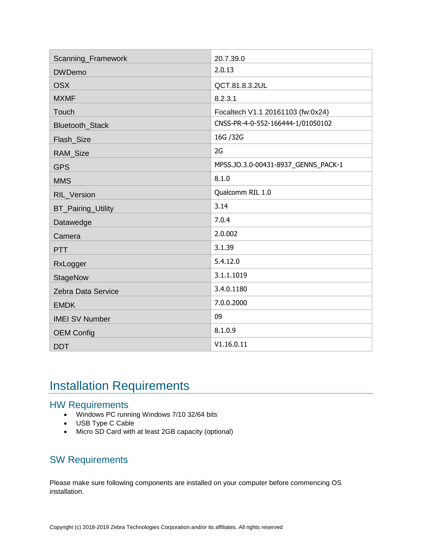| Scanning_Framework        | 20.7.39.0                           |
|---------------------------|-------------------------------------|
| <b>DWDemo</b>             | 2.0.13                              |
| <b>OSX</b>                | QCT.81.8.3.2UL                      |
| <b>MXMF</b>               | 8.2.3.1                             |
| Touch                     | Focaltech V1.1 20161103 (fw:0x24)   |
| Bluetooth_Stack           | CNSS-PR-4-0-552-166444-1/01050102   |
| Flash_Size                | 16G / 32G                           |
| RAM_Size                  | 2G                                  |
| <b>GPS</b>                | MPSS.JO.3.0-00431-8937_GENNS_PACK-1 |
| <b>MMS</b>                | 8.1.0                               |
| RIL_Version               | Qualcomm RIL 1.0                    |
| <b>BT_Pairing_Utility</b> | 3.14                                |
| Datawedge                 | 7.0.4                               |
| Camera                    | 2.0.002                             |
| <b>PTT</b>                | 3.1.39                              |
| RxLogger                  | 5.4.12.0                            |
| StageNow                  | 3.1.1.1019                          |
| Zebra Data Service        | 3.4.0.1180                          |
| <b>EMDK</b>               | 7.0.0.2000                          |
| <b>IMEI SV Number</b>     | 09                                  |
| <b>OEM Config</b>         | 8.1.0.9                             |
| <b>DDT</b>                | V1.16.0.11                          |
|                           |                                     |

### <span id="page-3-0"></span>Installation Requirements

#### HW Requirements

- Windows PC running Windows 7/10 32/64 bits
- USB Type C Cable
- Micro SD Card with at least 2GB capacity (optional)

### SW Requirements

Please make sure following components are installed on your computer before commencing OS installation.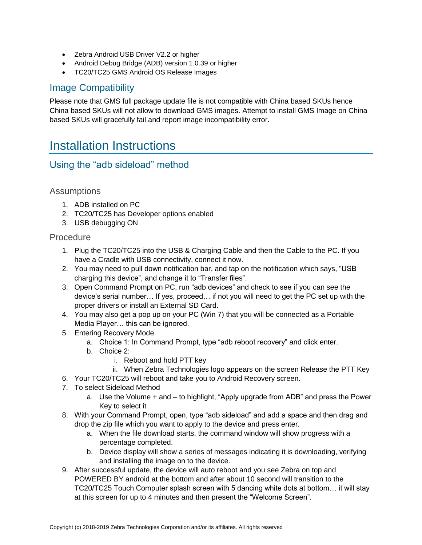- Zebra Android USB Driver V2.2 or higher
- Android Debug Bridge (ADB) version 1.0.39 or higher
- TC20/TC25 GMS Android OS Release Images

### Image Compatibility

Please note that GMS full package update file is not compatible with China based SKUs hence China based SKUs will not allow to download GMS images. Attempt to install GMS Image on China based SKUs will gracefully fail and report image incompatibility error.

### <span id="page-4-0"></span>Installation Instructions

### Using the "adb sideload" method

#### Assumptions

- 1. ADB installed on PC
- 2. TC20/TC25 has Developer options enabled
- 3. USB debugging ON

#### Procedure

- 1. Plug the TC20/TC25 into the USB & Charging Cable and then the Cable to the PC. If you have a Cradle with USB connectivity, connect it now.
- 2. You may need to pull down notification bar, and tap on the notification which says, "USB charging this device", and change it to "Transfer files".
- 3. Open Command Prompt on PC, run "adb devices" and check to see if you can see the device's serial number… If yes, proceed… if not you will need to get the PC set up with the proper drivers or install an External SD Card.
- 4. You may also get a pop up on your PC (Win 7) that you will be connected as a Portable Media Player… this can be ignored.
- 5. Entering Recovery Mode
	- a. Choice 1: In Command Prompt, type "adb reboot recovery" and click enter.
	- b. Choice 2:
		- i. Reboot and hold PTT key
		- ii. When Zebra Technologies logo appears on the screen Release the PTT Key
- 6. Your TC20/TC25 will reboot and take you to Android Recovery screen.
- 7. To select Sideload Method
	- a. Use the Volume + and to highlight, "Apply upgrade from ADB" and press the Power Key to select it
- 8. With your Command Prompt, open, type "adb sideload" and add a space and then drag and drop the zip file which you want to apply to the device and press enter.
	- a. When the file download starts, the command window will show progress with a percentage completed.
	- b. Device display will show a series of messages indicating it is downloading, verifying and installing the image on to the device.
- 9. After successful update, the device will auto reboot and you see Zebra on top and POWERED BY android at the bottom and after about 10 second will transition to the TC20/TC25 Touch Computer splash screen with 5 dancing white dots at bottom… it will stay at this screen for up to 4 minutes and then present the "Welcome Screen".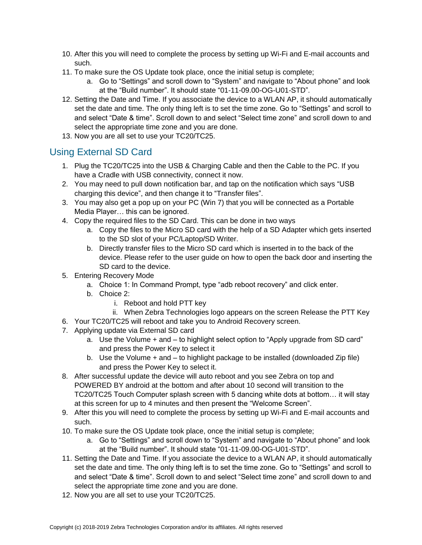- 10. After this you will need to complete the process by setting up Wi-Fi and E-mail accounts and such.
- 11. To make sure the OS Update took place, once the initial setup is complete;
	- a. Go to "Settings" and scroll down to "System" and navigate to "About phone" and look at the "Build number". It should state "01-11-09.00-OG-U01-STD".
- 12. Setting the Date and Time. If you associate the device to a WLAN AP, it should automatically set the date and time. The only thing left is to set the time zone. Go to "Settings" and scroll to and select "Date & time". Scroll down to and select "Select time zone" and scroll down to and select the appropriate time zone and you are done.
- 13. Now you are all set to use your TC20/TC25.

### Using External SD Card

- 1. Plug the TC20/TC25 into the USB & Charging Cable and then the Cable to the PC. If you have a Cradle with USB connectivity, connect it now.
- 2. You may need to pull down notification bar, and tap on the notification which says "USB charging this device", and then change it to "Transfer files".
- 3. You may also get a pop up on your PC (Win 7) that you will be connected as a Portable Media Player… this can be ignored.
- 4. Copy the required files to the SD Card. This can be done in two ways
	- a. Copy the files to the Micro SD card with the help of a SD Adapter which gets inserted to the SD slot of your PC/Laptop/SD Writer.
	- b. Directly transfer files to the Micro SD card which is inserted in to the back of the device. Please refer to the user guide on how to open the back door and inserting the SD card to the device.
- 5. Entering Recovery Mode
	- a. Choice 1: In Command Prompt, type "adb reboot recovery" and click enter.
	- b. Choice 2:
		- i. Reboot and hold PTT key
		- ii. When Zebra Technologies logo appears on the screen Release the PTT Key
- 6. Your TC20/TC25 will reboot and take you to Android Recovery screen.
- 7. Applying update via External SD card
	- a. Use the Volume + and to highlight select option to "Apply upgrade from SD card" and press the Power Key to select it
	- b. Use the Volume + and to highlight package to be installed (downloaded Zip file) and press the Power Key to select it.
- 8. After successful update the device will auto reboot and you see Zebra on top and POWERED BY android at the bottom and after about 10 second will transition to the TC20/TC25 Touch Computer splash screen with 5 dancing white dots at bottom… it will stay at this screen for up to 4 minutes and then present the "Welcome Screen".
- 9. After this you will need to complete the process by setting up Wi-Fi and E-mail accounts and such.
- 10. To make sure the OS Update took place, once the initial setup is complete;
	- a. Go to "Settings" and scroll down to "System" and navigate to "About phone" and look at the "Build number". It should state "01-11-09.00-OG-U01-STD".
- 11. Setting the Date and Time. If you associate the device to a WLAN AP, it should automatically set the date and time. The only thing left is to set the time zone. Go to "Settings" and scroll to and select "Date & time". Scroll down to and select "Select time zone" and scroll down to and select the appropriate time zone and you are done.
- 12. Now you are all set to use your TC20/TC25.